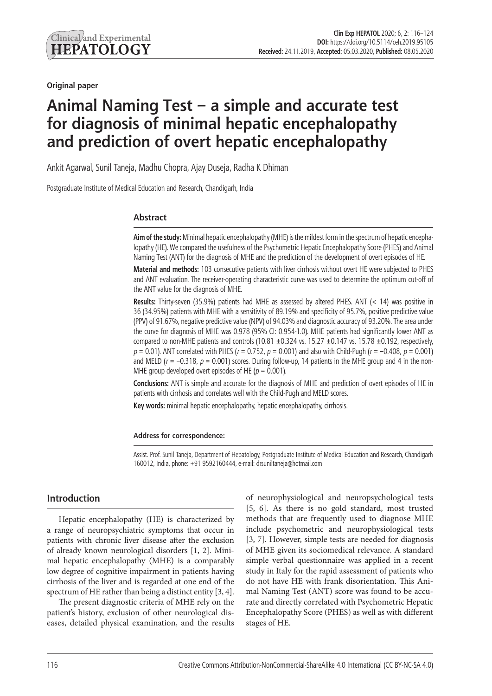**Original paper**

# **Animal Naming Test – a simple and accurate test for diagnosis of minimal hepatic encephalopathy and prediction of overt hepatic encephalopathy**

Ankit Agarwal, Sunil Taneja, Madhu Chopra, Ajay Duseja, Radha K Dhiman

Postgraduate Institute of Medical Education and Research, Chandigarh, India

### **Abstract**

**Aim of the study:** Minimal hepatic encephalopathy (MHE) is the mildest form in the spectrum of hepatic encephalopathy (HE). We compared the usefulness of the Psychometric Hepatic Encephalopathy Score (PHES) and Animal Naming Test (ANT) for the diagnosis of MHE and the prediction of the development of overt episodes of HE.

**Material and methods:** 103 consecutive patients with liver cirrhosis without overt HE were subjected to PHES and ANT evaluation. The receiver-operating characteristic curve was used to determine the optimum cut-off of the ANT value for the diagnosis of MHE.

**Results:** Thirty-seven (35.9%) patients had MHE as assessed by altered PHES. ANT (< 14) was positive in 36 (34.95%) patients with MHE with a sensitivity of 89.19% and specificity of 95.7%, positive predictive value (PPV) of 91.67%, negative predictive value (NPV) of 94.03% and diagnostic accuracy of 93.20%. The area under the curve for diagnosis of MHE was 0.978 (95% CI: 0.954-1.0). MHE patients had significantly lower ANT as compared to non-MHE patients and controls (10.81  $\pm$ 0.324 vs. 15.27  $\pm$ 0.147 vs. 15.78  $\pm$ 0.192, respectively, *p* = 0.01). ANT correlated with PHES (*r* = 0.752, *p* = 0.001) and also with Child-Pugh (*r* = –0.408, *p* = 0.001) and MELD ( $r = -0.318$ ,  $p = 0.001$ ) scores. During follow-up, 14 patients in the MHE group and 4 in the non-MHE group developed overt episodes of HE ( $p = 0.001$ ).

**Conclusions:** ANT is simple and accurate for the diagnosis of MHE and prediction of overt episodes of HE in patients with cirrhosis and correlates well with the Child-Pugh and MELD scores.

**Key words:** minimal hepatic encephalopathy, hepatic encephalopathy, cirrhosis.

#### **Address for correspondence:**

Assist. Prof. Sunil Taneja, Department of Hepatology, Postgraduate Institute of Medical Education and Research, Chandigarh 160012, India, phone: +91 9592160444, e-mail: drsuniltaneja@hotmail.com

# **Introduction**

Hepatic encephalopathy (HE) is characterized by a range of neuropsychiatric symptoms that occur in patients with chronic liver disease after the exclusion of already known neurological disorders [1, 2]. Minimal hepatic encephalopathy (MHE) is a comparably low degree of cognitive impairment in patients having cirrhosis of the liver and is regarded at one end of the spectrum of HE rather than being a distinct entity [3, 4].

The present diagnostic criteria of MHE rely on the patient's history, exclusion of other neurological diseases, detailed physical examination, and the results

of neurophysiological and neuropsychological tests [5, 6]. As there is no gold standard, most trusted methods that are frequently used to diagnose MHE include psychometric and neurophysiological tests [3, 7]. However, simple tests are needed for diagnosis of MHE given its sociomedical relevance. A standard simple verbal questionnaire was applied in a recent study in Italy for the rapid assessment of patients who do not have HE with frank disorientation. This Animal Naming Test (ANT) score was found to be accurate and directly correlated with Psychometric Hepatic Encephalopathy Score (PHES) as well as with different stages of HE.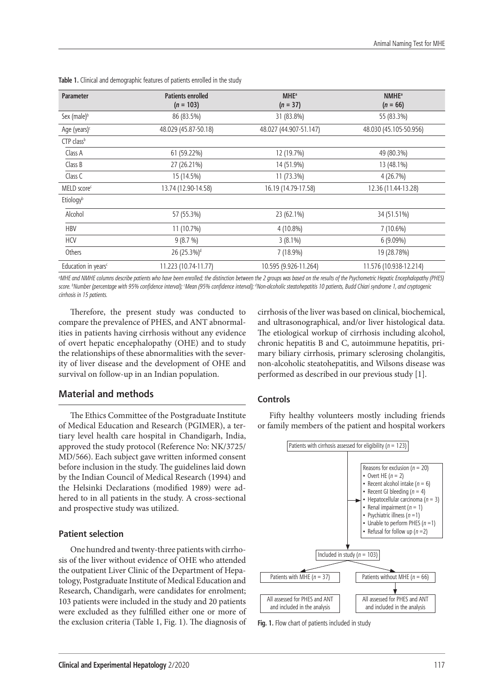| Parameter                       | <b>Patients enrolled</b><br>$(n = 103)$ | <b>MHE</b> <sup>a</sup><br>$(n = 37)$ | <b>NMHE</b> <sup>a</sup><br>$(n = 66)$ |
|---------------------------------|-----------------------------------------|---------------------------------------|----------------------------------------|
| Sex (male) <sup>b</sup>         | 86 (83.5%)                              | 31 (83.8%)                            | 55 (83.3%)                             |
| Age (years) <sup>c</sup>        | 48.029 (45.87-50.18)                    | 48.027 (44.907-51.147)                | 48.030 (45.105-50.956)                 |
| CTP class <sup>b</sup>          |                                         |                                       |                                        |
| Class A                         | 61 (59.22%)                             | 12 (19.7%)                            | 49 (80.3%)                             |
| Class B                         | 27 (26.21%)                             | 14 (51.9%)                            | 13 (48.1%)                             |
| Class C                         | 15 (14.5%)                              | 11 (73.3%)                            | 4(26.7%)                               |
| MELD score <sup>c</sup>         | 13.74 (12.90-14.58)                     | 16.19 (14.79-17.58)                   | 12.36 (11.44-13.28)                    |
| Etiologyb                       |                                         |                                       |                                        |
| Alcohol                         | 57 (55.3%)                              | 23 (62.1%)                            | 34 (51.51%)                            |
| <b>HBV</b>                      | 11 (10.7%)                              | $4(10.8\%)$                           | 7 (10.6%)                              |
| <b>HCV</b>                      | 9(8.7%)                                 | $3(8.1\%)$                            | 6 (9.09%)                              |
| Others                          | 26 (25.3%) <sup>d</sup>                 | 7 (18.9%)                             | 19 (28.78%)                            |
| Education in years <sup>c</sup> | 11.223 (10.74-11.77)                    | 10.595 (9.926-11.264)                 | 11.576 (10.938-12.214)                 |

**Table 1.** Clinical and demographic features of patients enrolled in the study

*a MHE and NMHE columns describe patients who have been enrolled; the distinction between the 2 groups was based on the results of the Psychometric Hepatic Encephalopathy (PHES)*  score. <sup>b</sup>Number (percentage with 95% confidence interval); Wean (95% confidence interval); <sup>d</sup>Non-alcoholic steatohepatitis 10 patients, Budd Chiari syndrome 1, and cryptogenic *cirrhosis in 15 patients.*

Therefore, the present study was conducted to compare the prevalence of PHES, and ANT abnormalities in patients having cirrhosis without any evidence of overt hepatic encephalopathy (OHE) and to study the relationships of these abnormalities with the severity of liver disease and the development of OHE and survival on follow-up in an Indian population.

# **Material and methods**

The Ethics Committee of the Postgraduate Institute of Medical Education and Research (PGIMER), a tertiary level health care hospital in Chandigarh, India, approved the study protocol (Reference No: NK/3725/ MD/566). Each subject gave written informed consent before inclusion in the study. The guidelines laid down by the Indian Council of Medical Research (1994) and the Helsinki Declarations (modified 1989) were adhered to in all patients in the study. A cross-sectional and prospective study was utilized.

#### **Patient selection**

One hundred and twenty-three patients with cirrhosis of the liver without evidence of OHE who attended the outpatient Liver Clinic of the Department of Hepatology, Postgraduate Institute of Medical Education and Research, Chandigarh, were candidates for enrolment; 103 patients were included in the study and 20 patients were excluded as they fulfilled either one or more of the exclusion criteria (Table 1, Fig. 1). The diagnosis of cirrhosis of the liver was based on clinical, biochemical, and ultrasonographical, and/or liver histological data. The etiological workup of cirrhosis including alcohol, chronic hepatitis B and C, autoimmune hepatitis, primary biliary cirrhosis, primary sclerosing cholangitis, non-alcoholic steatohepatitis, and Wilsons disease was performed as described in our previous study [1].

#### **Controls**

Fifty healthy volunteers mostly including friends or family members of the patient and hospital workers



**Fig. 1.** Flow chart of patients included in study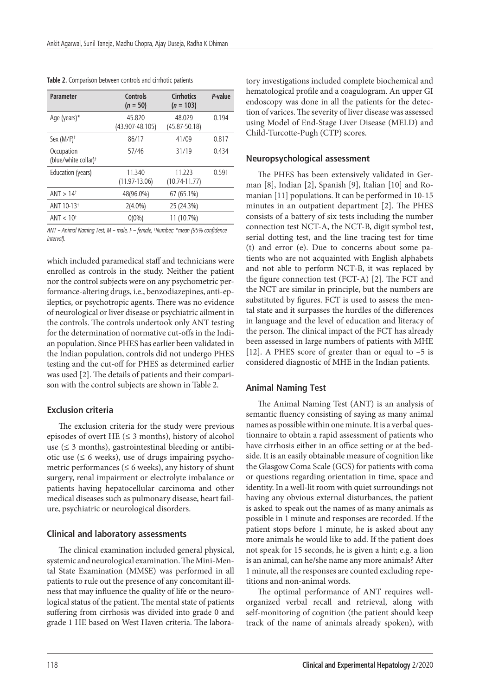| <b>Parameter</b>                               | Controls<br>$(n = 50)$        | <b>Cirrhotics</b><br>$(n = 103)$ | P-value |
|------------------------------------------------|-------------------------------|----------------------------------|---------|
| Age (years)*                                   | 45.820<br>$(43.907 - 48.105)$ | 48.029<br>$(45.87 - 50.18)$      | 0.194   |
| Sex $(M/F)^+$                                  | 86/17                         | 41/09                            | 0.817   |
| Occupation<br>(blue/white collar) <sup>+</sup> | 57/46                         | 31/19                            | 0.434   |
| Education (years)                              | 11.340<br>$(11.97-13.06)$     | 11.223<br>$(10.74 - 11.77)$      | 0.591   |
| ANT > 14 <sup>†</sup>                          | 48(96.0%)                     | 67 (65.1%)                       |         |
| ANT 10-13 <sup>+</sup>                         | $2(4.0\%)$                    | 25 (24.3%)                       |         |
| ANT $< 10†$                                    | $0(0\%)$                      | 11 (10.7%)                       |         |

**Table 2.** Comparison between controls and cirrhotic patients

*ANT – Animal Naming Test, M – male, F – female, † Number; \*mean (95% confidence interval).*

which included paramedical staff and technicians were enrolled as controls in the study. Neither the patient nor the control subjects were on any psychometric performance-altering drugs, i.e., benzodiazepines, anti-epileptics, or psychotropic agents. There was no evidence of neurological or liver disease or psychiatric ailment in the controls. The controls undertook only ANT testing for the determination of normative cut-offs in the Indian population. Since PHES has earlier been validated in the Indian population, controls did not undergo PHES testing and the cut-off for PHES as determined earlier was used [2]. The details of patients and their comparison with the control subjects are shown in Table 2.

## **Exclusion criteria**

The exclusion criteria for the study were previous episodes of overt HE ( $\leq$  3 months), history of alcohol use ( $\leq$  3 months), gastrointestinal bleeding or antibiotic use  $(\leq 6$  weeks), use of drugs impairing psychometric performances ( $\leq 6$  weeks), any history of shunt surgery, renal impairment or electrolyte imbalance or patients having hepatocellular carcinoma and other medical diseases such as pulmonary disease, heart failure, psychiatric or neurological disorders.

#### **Clinical and laboratory assessments**

The clinical examination included general physical, systemic and neurological examination. The Mini-Mental State Examination (MMSE) was performed in all patients to rule out the presence of any concomitant illness that may influence the quality of life or the neurological status of the patient. The mental state of patients suffering from cirrhosis was divided into grade 0 and grade 1 HE based on West Haven criteria. The labora-

tory investigations included complete biochemical and hematological profile and a coagulogram. An upper GI endoscopy was done in all the patients for the detection of varices. The severity of liver disease was assessed using Model of End-Stage Liver Disease (MELD) and Child-Turcotte-Pugh (CTP) scores.

#### **Neuropsychological assessment**

The PHES has been extensively validated in German [8], Indian [2], Spanish [9], Italian [10] and Romanian [11] populations. It can be performed in 10-15 minutes in an outpatient department [2]. The PHES consists of a battery of six tests including the number connection test NCT-A, the NCT-B, digit symbol test, serial dotting test, and the line tracing test for time (t) and error (e). Due to concerns about some patients who are not acquainted with English alphabets and not able to perform NCT-B, it was replaced by the figure connection test (FCT-A) [2]. The FCT and the NCT are similar in principle, but the numbers are substituted by figures. FCT is used to assess the mental state and it surpasses the hurdles of the differences in language and the level of education and literacy of the person. The clinical impact of the FCT has already been assessed in large numbers of patients with MHE [12]. A PHES score of greater than or equal to –5 is considered diagnostic of MHE in the Indian patients.

#### **Animal Naming Test**

The Animal Naming Test (ANT) is an analysis of semantic fluency consisting of saying as many animal names as possible within one minute. It is a verbal questionnaire to obtain a rapid assessment of patients who have cirrhosis either in an office setting or at the bedside. It is an easily obtainable measure of cognition like the Glasgow Coma Scale (GCS) for patients with coma or questions regarding orientation in time, space and identity. In a well-lit room with quiet surroundings not having any obvious external disturbances, the patient is asked to speak out the names of as many animals as possible in 1 minute and responses are recorded. If the patient stops before 1 minute, he is asked about any more animals he would like to add. If the patient does not speak for 15 seconds, he is given a hint; e.g. a lion is an animal, can he/she name any more animals? After 1 minute, all the responses are counted excluding repetitions and non-animal words.

The optimal performance of ANT requires wellorganized verbal recall and retrieval, along with self-monitoring of cognition (the patient should keep track of the name of animals already spoken), with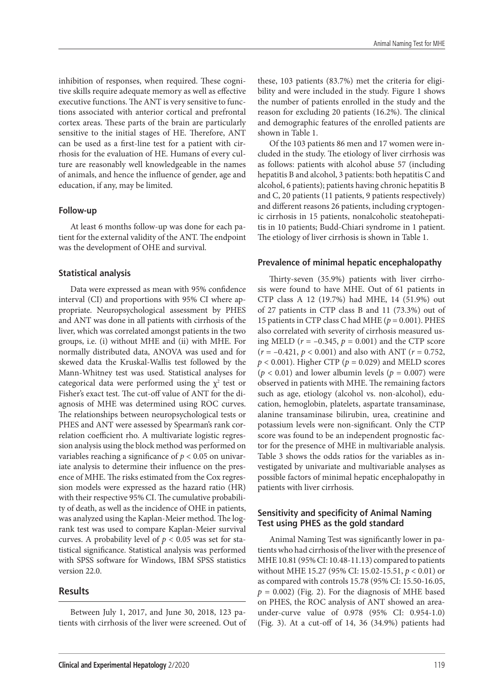inhibition of responses, when required. These cognitive skills require adequate memory as well as effective executive functions. The ANT is very sensitive to functions associated with anterior cortical and prefrontal cortex areas. These parts of the brain are particularly sensitive to the initial stages of HE. Therefore, ANT can be used as a first-line test for a patient with cirrhosis for the evaluation of HE. Humans of every culture are reasonably well knowledgeable in the names of animals, and hence the influence of gender, age and education, if any, may be limited.

#### **Follow-up**

At least 6 months follow-up was done for each patient for the external validity of the ANT. The endpoint was the development of OHE and survival.

#### **Statistical analysis**

Data were expressed as mean with 95% confidence interval (CI) and proportions with 95% CI where appropriate. Neuropsychological assessment by PHES and ANT was done in all patients with cirrhosis of the liver, which was correlated amongst patients in the two groups, i.e. (i) without MHE and (ii) with MHE. For normally distributed data, ANOVA was used and for skewed data the Kruskal-Wallis test followed by the Mann-Whitney test was used. Statistical analyses for categorical data were performed using the  $\chi^2$  test or Fisher's exact test. The cut-off value of ANT for the diagnosis of MHE was determined using ROC curves. The relationships between neuropsychological tests or PHES and ANT were assessed by Spearman's rank correlation coefficient rho. A multivariate logistic regression analysis using the block method was performed on variables reaching a significance of *p* < 0.05 on univariate analysis to determine their influence on the presence of MHE. The risks estimated from the Cox regression models were expressed as the hazard ratio (HR) with their respective 95% CI. The cumulative probability of death, as well as the incidence of OHE in patients, was analyzed using the Kaplan-Meier method. The logrank test was used to compare Kaplan-Meier survival curves. A probability level of  $p < 0.05$  was set for statistical significance. Statistical analysis was performed with SPSS software for Windows, IBM SPSS statistics version 22.0.

#### **Results**

Between July 1, 2017, and June 30, 2018, 123 patients with cirrhosis of the liver were screened. Out of these, 103 patients (83.7%) met the criteria for eligibility and were included in the study. Figure 1 shows the number of patients enrolled in the study and the reason for excluding 20 patients (16.2%). The clinical and demographic features of the enrolled patients are shown in Table 1.

Of the 103 patients 86 men and 17 women were included in the study. The etiology of liver cirrhosis was as follows: patients with alcohol abuse 57 (including hepatitis B and alcohol, 3 patients: both hepatitis C and alcohol, 6 patients); patients having chronic hepatitis B and C, 20 patients (11 patients, 9 patients respectively) and different reasons 26 patients, including cryptogenic cirrhosis in 15 patients, nonalcoholic steatohepatitis in 10 patients; Budd-Chiari syndrome in 1 patient. The etiology of liver cirrhosis is shown in Table 1.

#### **Prevalence of minimal hepatic encephalopathy**

Thirty-seven (35.9%) patients with liver cirrhosis were found to have MHE. Out of 61 patients in CTP class A 12 (19.7%) had MHE, 14 (51.9%) out of 27 patients in CTP class B and 11 (73.3%) out of 15 patients in CTP class C had MHE (*p* = 0.001). PHES also correlated with severity of cirrhosis measured using MELD ( $r = -0.345$ ,  $p = 0.001$ ) and the CTP score (*r* = –0.421, *p* < 0.001) and also with ANT (*r* = 0.752,  $p < 0.001$ ). Higher CTP ( $p = 0.029$ ) and MELD scores  $(p < 0.01)$  and lower albumin levels  $(p = 0.007)$  were observed in patients with MHE. The remaining factors such as age, etiology (alcohol vs. non-alcohol), education, hemoglobin, platelets, aspartate transaminase, alanine transaminase bilirubin, urea, creatinine and potassium levels were non-significant. Only the CTP score was found to be an independent prognostic factor for the presence of MHE in multivariable analysis. Table 3 shows the odds ratios for the variables as investigated by univariate and multivariable analyses as possible factors of minimal hepatic encephalopathy in patients with liver cirrhosis.

## **Sensitivity and specificity of Animal Naming Test using PHES as the gold standard**

Animal Naming Test was significantly lower in patients who had cirrhosis of the liver with the presence of MHE 10.81 (95% CI: 10.48-11.13) compared to patients without MHE 15.27 (95% CI: 15.02-15.51, *p* < 0.01) or as compared with controls 15.78 (95% CI: 15.50-16.05,  $p = 0.002$ ) (Fig. 2). For the diagnosis of MHE based on PHES, the ROC analysis of ANT showed an areaunder-curve value of 0.978 (95% CI: 0.954-1.0) (Fig. 3). At a cut-off of 14, 36 (34.9%) patients had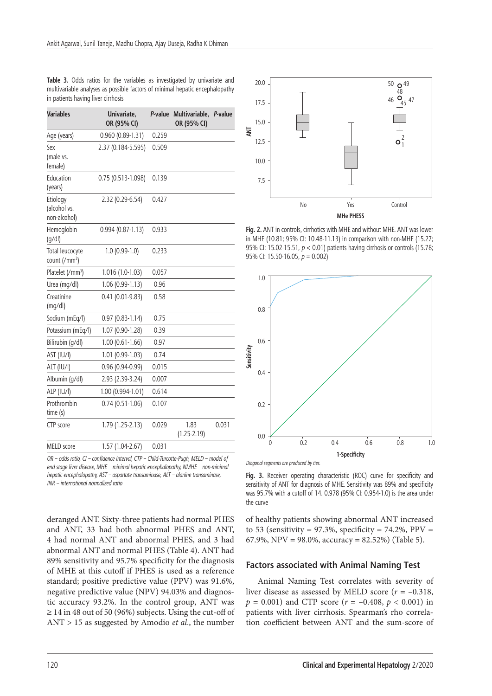| <b>Variables</b>                             | Univariate,<br>OR (95% CI) | P-value | Multivariable, P-value<br>OR (95% CI) |       |
|----------------------------------------------|----------------------------|---------|---------------------------------------|-------|
| Age (years)                                  | $0.960(0.89-1.31)$         | 0.259   |                                       |       |
| Sex<br>(male vs.<br>female)                  | 2.37 (0.184-5.595)         | 0.509   |                                       |       |
| Education<br>(years)                         | 0.75 (0.513-1.098)         | 0.139   |                                       |       |
| Etiology<br>(alcohol vs.<br>non-alcohol)     | 2.32 (0.29-6.54)           | 0.427   |                                       |       |
| Hemoglobin<br>(g/dl)                         | $0.994(0.87-1.13)$         | 0.933   |                                       |       |
| Total leucocyte<br>count (/mm <sup>3</sup> ) | $1.0(0.99-1.0)$            | 0.233   |                                       |       |
| Platelet (/mm <sup>3</sup> )                 | $1.016(1.0-1.03)$          | 0.057   |                                       |       |
| Urea (mg/dl)                                 | $1.06(0.99-1.13)$          | 0.96    |                                       |       |
| Creatinine<br>(mg/dl)                        | $0.41(0.01-9.83)$          | 0.58    |                                       |       |
| Sodium (mEq/l)                               | $0.97(0.83 - 1.14)$        | 0.75    |                                       |       |
| Potassium (mEq/l)                            | 1.07 (0.90-1.28)           | 0.39    |                                       |       |
| Bilirubin (q/dl)                             | $1.00(0.61-1.66)$          | 0.97    |                                       |       |
| AST (IU/I)                                   | $1.01(0.99-1.03)$          | 0.74    |                                       |       |
| ALT (IU/I)                                   | $0.96(0.94-0.99)$          | 0.015   |                                       |       |
| Albumin (g/dl)                               | 2.93 (2.39-3.24)           | 0.007   |                                       |       |
| ALP (IU/I)                                   | 1.00 (0.994-1.01)          | 0.614   |                                       |       |
| Prothrombin<br>time (s)                      | $0.74(0.51-1.06)$          | 0.107   |                                       |       |
| CTP score                                    | 1.79 (1.25-2.13)           | 0.029   | 1.83<br>$(1.25 - 2.19)$               | 0.031 |
| MELD score                                   | 1.57 (1.04-2.67)           | 0.031   |                                       |       |

**Table 3.** Odds ratios for the variables as investigated by univariate and multivariable analyses as possible factors of minimal hepatic encephalopathy in patients having liver cirrhosis

*OR – odds ratio, CI – confidence interval, CTP – Child-Turcotte-Pugh, MELD – model of end stage liver disease, MHE – minimal hepatic encephalopathy, NMHE – non-minimal hepatic encephalopathy, AST – aspartate transaminase, ALT – alanine transaminase, INR – international normalized ratio*

deranged ANT. Sixty-three patients had normal PHES and ANT, 33 had both abnormal PHES and ANT, 4 had normal ANT and abnormal PHES, and 3 had abnormal ANT and normal PHES (Table 4). ANT had 89% sensitivity and 95.7% specificity for the diagnosis of MHE at this cutoff if PHES is used as a reference standard; positive predictive value (PPV) was 91.6%, negative predictive value (NPV) 94.03% and diagnostic accuracy 93.2%. In the control group, ANT was  $\geq$  14 in 48 out of 50 (96%) subjects. Using the cut-off of ANT > 15 as suggested by Amodio *et al*., the number



**Fig. 2.** ANT in controls, cirrhotics with MHE and without MHE. ANT was lower in MHE (10.81; 95% CI: 10.48-11.13) in comparison with non-MHE (15.27; 95% CI: 15.02-15.51, *p* < 0.01) patients having cirrhosis or controls (15.78; 95% CI: 15.50-16.05, *p* = 0.002)



Fig. 3. Receiver operating characteristic (ROC) curve for specificity and sensitivity of ANT for diagnosis of MHE. Sensitivity was 89% and specificity was 95.7% with a cutoff of 14. 0.978 (95% CI: 0.954-1.0) is the area under the curve

of healthy patients showing abnormal ANT increased to 53 (sensitivity =  $97.3\%$ , specificity =  $74.2\%$ , PPV = 67.9%, NPV = 98.0%, accuracy = 82.52%) (Table 5).

#### **Factors associated with Animal Naming Test**

Animal Naming Test correlates with severity of liver disease as assessed by MELD score (*r* = –0.318,  $p = 0.001$  and CTP score ( $r = -0.408$ ,  $p < 0.001$ ) in patients with liver cirrhosis. Spearman's rho correlation coefficient between ANT and the sum-score of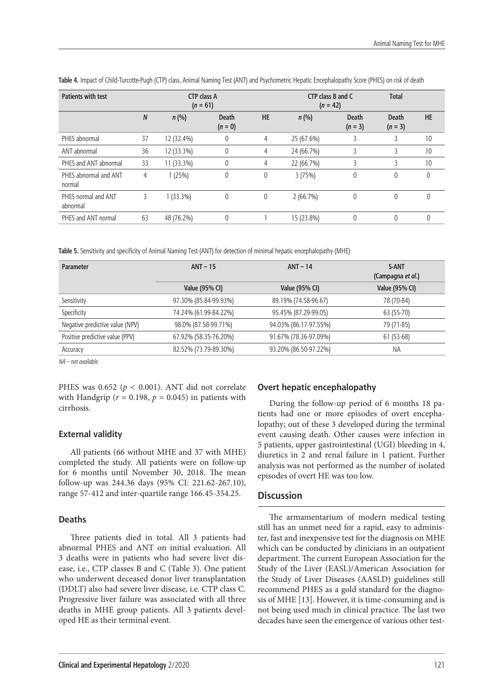| <b>Patients with test</b>       |                  | <b>CTP class A</b><br>$(n = 61)$ |                           |           | CTP class B and C<br>$(n = 42)$ |                           | <b>Total</b>              |           |
|---------------------------------|------------------|----------------------------------|---------------------------|-----------|---------------------------------|---------------------------|---------------------------|-----------|
|                                 | $\boldsymbol{N}$ | n(%)                             | <b>Death</b><br>$(n = 0)$ | <b>HE</b> | n(%)                            | <b>Death</b><br>$(n = 3)$ | <b>Death</b><br>$(n = 3)$ | <b>HE</b> |
| PHES abnormal                   | 37               | 12 (32.4%)                       | 0                         | 4         | 25 (67.6%)                      |                           |                           | 10        |
| ANT abnormal                    | 36               | 12 (33.3%)                       | $\mathbf 0$               | 4         | 24 (66.7%)                      | 3                         | 3                         | 10        |
| PHES and ANT abnormal           | 33               | 11 (33.3%)                       | 0                         | 4         | 22 (66.7%)                      |                           |                           | 10        |
| PHES abnormal and ANT<br>normal | 4                | 1(25%)                           | $\mathbf 0$               | 0         | 3(75%)                          | 0                         | $\theta$                  | 0         |
| PHES normal and ANT<br>abnormal | 3                | $1(33.3\%)$                      | $\mathbf 0$               | 0         | 2(66.7%)                        | $\mathbf{0}$              | $\theta$                  | $\theta$  |
| PHES and ANT normal             | 63               | 48 (76.2%)                       | 0                         |           | 15 (23.8%)                      | 0                         | $\theta$                  | $\theta$  |

**Table 4.** Impact of Child-Turcotte-Pugh (CTP) class, Animal Naming Test (ANT) and Psychometric Hepatic Encephalopathy Score (PHES) on risk of death

**Table 5.** Sensitivity and specificity of Animal Naming Test (ANT) for detection of minimal hepatic encephalopathy (MHE)

| $ANT - 15$            | $ANT - 14$            | S-ANT<br>(Campagna et al.) |  |
|-----------------------|-----------------------|----------------------------|--|
| <b>Value (95% CI)</b> | <b>Value (95% CI)</b> | <b>Value (95% CI)</b>      |  |
| 97.30% (85.84-99.93%) | 89.19% (74.58-96.67)  | 78 (70-84)                 |  |
| 74.24% (61.99-84.22%) | 95.45% (87.29-99.05)  | 63 (55-70)                 |  |
| 98.0% (87.58-99.71%)  | 94.03% (86.17-97.55%) | 79 (71-85)                 |  |
| 67.92% (58.35-76.20%) | 91.67% (78.36-97.09%) | 61 (53-68)                 |  |
| 82.52% (73.79-89.30%) | 93.20% (86.50-97.22%) | <b>NA</b>                  |  |
|                       |                       |                            |  |

*NA – not available*

PHES was  $0.652$  ( $p < 0.001$ ). ANT did not correlate with Handgrip ( $r = 0.198$ ,  $p = 0.045$ ) in patients with cirrhosis.

## **External validity**

All patients (66 without MHE and 37 with MHE) completed the study. All patients were on follow-up for 6 months until November 30, 2018. The mean follow-up was 244.36 days (95% CI: 221.62-267.10), range 57-412 and inter-quartile range 166.45-354.25.

## **Deaths**

Three patients died in total. All 3 patients had abnormal PHES and ANT on initial evaluation. All 3 deaths were in patients who had severe liver disease, i.e., CTP classes B and C (Table 3). One patient who underwent deceased donor liver transplantation (DDLT) also had severe liver disease, i.e. CTP class C. Progressive liver failure was associated with all three deaths in MHE group patients. All 3 patients developed HE as their terminal event.

# **Overt hepatic encephalopathy**

During the follow-up period of 6 months 18 patients had one or more episodes of overt encephalopathy; out of these 3 developed during the terminal event causing death. Other causes were infection in 5 patients, upper gastrointestinal (UGI) bleeding in 4, diuretics in 2 and renal failure in 1 patient. Further analysis was not performed as the number of isolated episodes of overt HE was too low.

# **Discussion**

The armamentarium of modern medical testing still has an unmet need for a rapid, easy to administer, fast and inexpensive test for the diagnosis on MHE which can be conducted by clinicians in an outpatient department. The current European Association for the Study of the Liver (EASL)/American Association for the Study of Liver Diseases (AASLD) guidelines still recommend PHES as a gold standard for the diagnosis of MHE [13]. However, it is time-consuming and is not being used much in clinical practice. The last two decades have seen the emergence of various other test-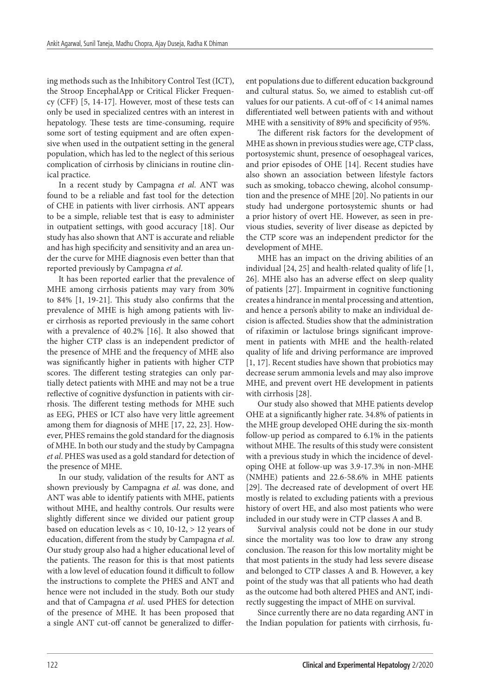ing methods such as the Inhibitory Control Test (ICT), the Stroop EncephalApp or Critical Flicker Frequency (CFF) [5, 14-17]. However, most of these tests can only be used in specialized centres with an interest in hepatology. These tests are time-consuming, require some sort of testing equipment and are often expensive when used in the outpatient setting in the general population, which has led to the neglect of this serious complication of cirrhosis by clinicians in routine clinical practice.

In a recent study by Campagna *et al*. ANT was found to be a reliable and fast tool for the detection of CHE in patients with liver cirrhosis. ANT appears to be a simple, reliable test that is easy to administer in outpatient settings, with good accuracy [18]. Our study has also shown that ANT is accurate and reliable and has high specificity and sensitivity and an area under the curve for MHE diagnosis even better than that reported previously by Campagna *et al*.

It has been reported earlier that the prevalence of MHE among cirrhosis patients may vary from 30% to 84% [1, 19-21]. This study also confirms that the prevalence of MHE is high among patients with liver cirrhosis as reported previously in the same cohort with a prevalence of 40.2% [16]. It also showed that the higher CTP class is an independent predictor of the presence of MHE and the frequency of MHE also was significantly higher in patients with higher CTP scores. The different testing strategies can only partially detect patients with MHE and may not be a true reflective of cognitive dysfunction in patients with cirrhosis. The different testing methods for MHE such as EEG, PHES or ICT also have very little agreement among them for diagnosis of MHE [17, 22, 23]. However, PHES remains the gold standard for the diagnosis of MHE. In both our study and the study by Campagna *et al*. PHES was used as a gold standard for detection of the presence of MHE.

In our study, validation of the results for ANT as shown previously by Campagna *et al*. was done, and ANT was able to identify patients with MHE, patients without MHE, and healthy controls. Our results were slightly different since we divided our patient group based on education levels as  $< 10$ , 10-12,  $> 12$  years of education, different from the study by Campagna *et al*. Our study group also had a higher educational level of the patients. The reason for this is that most patients with a low level of education found it difficult to follow the instructions to complete the PHES and ANT and hence were not included in the study. Both our study and that of Campagna *et al*. used PHES for detection of the presence of MHE. It has been proposed that a single ANT cut-off cannot be generalized to different populations due to different education background and cultural status. So, we aimed to establish cut-off values for our patients. A cut-off of < 14 animal names differentiated well between patients with and without MHE with a sensitivity of 89% and specificity of 95%.

The different risk factors for the development of MHE as shown in previous studies were age, CTP class, portosystemic shunt, presence of oesophageal varices, and prior episodes of OHE [14]. Recent studies have also shown an association between lifestyle factors such as smoking, tobacco chewing, alcohol consumption and the presence of MHE [20]. No patients in our study had undergone portosystemic shunts or had a prior history of overt HE. However, as seen in previous studies, severity of liver disease as depicted by the CTP score was an independent predictor for the development of MHE.

MHE has an impact on the driving abilities of an individual [24, 25] and health-related quality of life [1, 26]. MHE also has an adverse effect on sleep quality of patients [27]. Impairment in cognitive functioning creates a hindrance in mental processing and attention, and hence a person's ability to make an individual decision is affected. Studies show that the administration of rifaximin or lactulose brings significant improvement in patients with MHE and the health-related quality of life and driving performance are improved [1, 17]. Recent studies have shown that probiotics may decrease serum ammonia levels and may also improve MHE, and prevent overt HE development in patients with cirrhosis [28].

Our study also showed that MHE patients develop OHE at a significantly higher rate. 34.8% of patients in the MHE group developed OHE during the six-month follow-up period as compared to 6.1% in the patients without MHE. The results of this study were consistent with a previous study in which the incidence of developing OHE at follow-up was 3.9-17.3% in non-MHE (NMHE) patients and 22.6-58.6% in MHE patients [29]. The decreased rate of development of overt HE mostly is related to excluding patients with a previous history of overt HE, and also most patients who were included in our study were in CTP classes A and B.

Survival analysis could not be done in our study since the mortality was too low to draw any strong conclusion. The reason for this low mortality might be that most patients in the study had less severe disease and belonged to CTP classes A and B. However, a key point of the study was that all patients who had death as the outcome had both altered PHES and ANT, indirectly suggesting the impact of MHE on survival.

Since currently there are no data regarding ANT in the Indian population for patients with cirrhosis, fu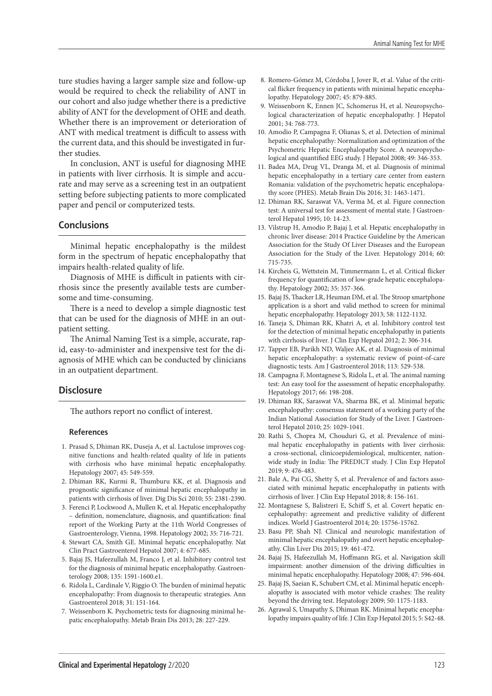ture studies having a larger sample size and follow-up would be required to check the reliability of ANT in our cohort and also judge whether there is a predictive ability of ANT for the development of OHE and death. Whether there is an improvement or deterioration of ANT with medical treatment is difficult to assess with the current data, and this should be investigated in further studies.

In conclusion, ANT is useful for diagnosing MHE in patients with liver cirrhosis. It is simple and accurate and may serve as a screening test in an outpatient setting before subjecting patients to more complicated paper and pencil or computerized tests.

# **Conclusions**

Minimal hepatic encephalopathy is the mildest form in the spectrum of hepatic encephalopathy that impairs health-related quality of life.

Diagnosis of MHE is difficult in patients with cirrhosis since the presently available tests are cumbersome and time-consuming.

There is a need to develop a simple diagnostic test that can be used for the diagnosis of MHE in an outpatient setting.

The Animal Naming Test is a simple, accurate, rapid, easy-to-administer and inexpensive test for the diagnosis of MHE which can be conducted by clinicians in an outpatient department.

# **Disclosure**

The authors report no conflict of interest.

## **References**

- 1. Prasad S, Dhiman RK, Duseja A, et al. Lactulose improves cognitive functions and health-related quality of life in patients with cirrhosis who have minimal hepatic encephalopathy. Hepatology 2007; 45: 549-559.
- 2. Dhiman RK, Kurmi R, Thumburu KK, et al. Diagnosis and prognostic significance of minimal hepatic encephalopathy in patients with cirrhosis of liver. Dig Dis Sci 2010; 55: 2381-2390.
- 3. Ferenci P, Lockwood A, Mullen K, et al. Hepatic encephalopathy – definition, nomenclature, diagnosis, and quantification: final report of the Working Party at the 11th World Congresses of Gastroenterology, Vienna, 1998. Hepatology 2002; 35: 716-721.
- 4. Stewart CA, Smith GE. Minimal hepatic encephalopathy. Nat Clin Pract Gastroenterol Hepatol 2007; 4: 677-685.
- 5. Bajaj JS, Hafeezullah M, Franco J, et al. Inhibitory control test for the diagnosis of minimal hepatic encephalopathy. Gastroenterology 2008; 135: 1591-1600.e1.
- 6. Ridola L, Cardinale V, Riggio O. The burden of minimal hepatic encephalopathy: From diagnosis to therapeutic strategies. Ann Gastroenterol 2018; 31: 151-164.
- 7. Weissenborn K. Psychometric tests for diagnosing minimal hepatic encephalopathy. Metab Brain Dis 2013; 28: 227-229.
- 8. Romero-Gómez M, Córdoba J, Jover R, et al. Value of the critical flicker frequency in patients with minimal hepatic encephalopathy. Hepatology 2007; 45: 879-885.
- 9. Weissenborn K, Ennen JC, Schomerus H, et al. Neuropsychological characterization of hepatic encephalopathy. J Hepatol 2001; 34: 768-773.
- 10. Amodio P, Campagna F, Olianas S, et al. Detection of minimal hepatic encephalopathy: Normalization and optimization of the Psychometric Hepatic Encephalopathy Score. A neuropsychological and quantified EEG study. J Hepatol 2008; 49: 346-353.
- 11. Badea MA, Drug VL, Dranga M, et al. Diagnosis of minimal hepatic encephalopathy in a tertiary care center from eastern Romania: validation of the psychometric hepatic encephalopathy score (PHES). Metab Brain Dis 2016; 31: 1463-1471.
- 12. Dhiman RK, Saraswat VA, Verma M, et al. Figure connection test: A universal test for assessment of mental state. J Gastroenterol Hepatol 1995; 10: 14-23.
- 13. Vilstrup H, Amodio P, Bajaj J, et al. Hepatic encephalopathy in chronic liver disease: 2014 Practice Guideline by the American Association for the Study Of Liver Diseases and the European Association for the Study of the Liver. Hepatology 2014; 60: 715-735.
- 14. Kircheis G, Wettstein M, Timmermann L, et al. Critical flicker frequency for quantification of low-grade hepatic encephalopathy. Hepatology 2002; 35: 357-366.
- 15. Bajaj JS, Thacker LR, Heuman DM, et al. The Stroop smartphone application is a short and valid method to screen for minimal hepatic encephalopathy. Hepatology 2013; 58: 1122-1132.
- 16. Taneja S, Dhiman RK, Khatri A, et al. Inhibitory control test for the detection of minimal hepatic encephalopathy in patients with cirrhosis of liver. J Clin Exp Hepatol 2012; 2: 306-314.
- 17. Tapper EB, Parikh ND, Waljee AK, et al. Diagnosis of minimal hepatic encephalopathy: a systematic review of point-of-care diagnostic tests. Am J Gastroenterol 2018; 113: 529-538.
- 18. Campagna F, Montagnese S, Ridola L, et al. The animal naming test: An easy tool for the assessment of hepatic encephalopathy. Hepatology 2017; 66: 198-208.
- 19. Dhiman RK, Saraswat VA, Sharma BK, et al. Minimal hepatic encephalopathy: consensus statement of a working party of the Indian National Association for Study of the Liver. J Gastroenterol Hepatol 2010; 25: 1029-1041.
- 20. Rathi S, Chopra M, Chouduri G, et al. Prevalence of minimal hepatic encephalopathy in patients with liver cirrhosis: a cross-sectional, clinicoepidemiological, multicenter, nationwide study in India: The PREDICT study. J Clin Exp Hepatol 2019; 9: 476-483.
- 21. Bale A, Pai CG, Shetty S, et al. Prevalence of and factors associated with minimal hepatic encephalopathy in patients with cirrhosis of liver. J Clin Exp Hepatol 2018; 8: 156-161.
- 22. Montagnese S, Balistreri E, Schiff S, et al. Covert hepatic encephalopathy: agreement and predictive validity of different indices. World J Gastroenterol 2014; 20: 15756-15762.
- 23. Basu PP, Shah NJ. Clinical and neurologic manifestation of minimal hepatic encephalopathy and overt hepatic encephalopathy. Clin Liver Dis 2015; 19: 461-472.
- 24. Bajaj JS, Hafeezullah M, Hoffmann RG, et al. Navigation skill impairment: another dimension of the driving difficulties in minimal hepatic encephalopathy. Hepatology 2008; 47: 596-604.
- 25. Bajaj JS, Saeian K, Schubert CM, et al. Minimal hepatic encephalopathy is associated with motor vehicle crashes: The reality beyond the driving test. Hepatology 2009; 50: 1175-1183.
- 26. Agrawal S, Umapathy S, Dhiman RK. Minimal hepatic encephalopathy impairs quality of life. J Clin Exp Hepatol 2015; 5: S42-48.